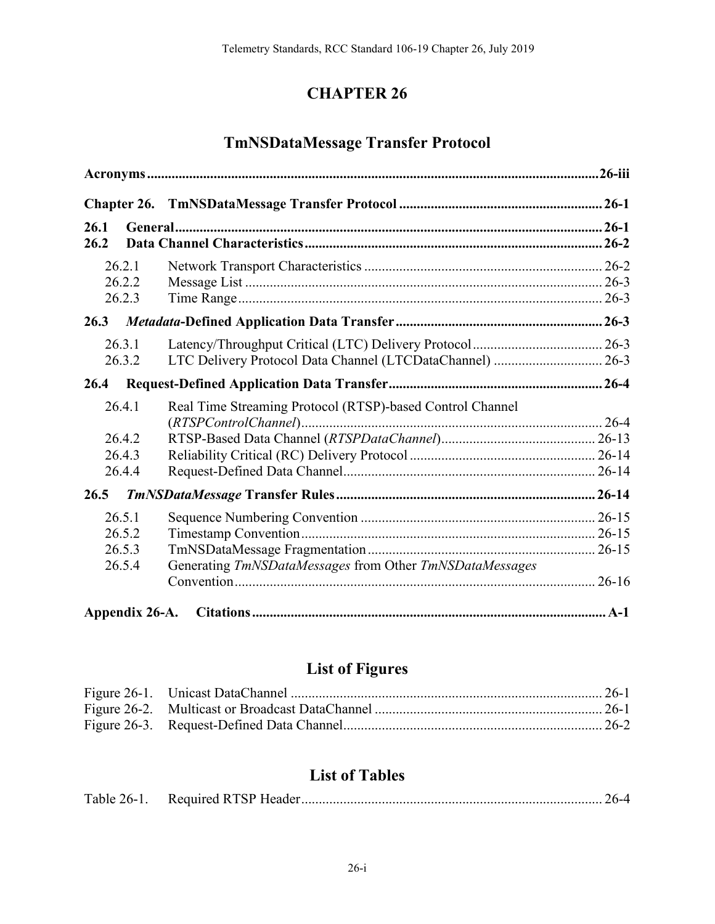# **CHAPTER 26**

# **TmNSDataMessage Transfer Protocol**

| 26.1<br>26.2 |                                      |                                                           |        |
|--------------|--------------------------------------|-----------------------------------------------------------|--------|
|              | 26.2.1<br>26.2.2<br>26.2.3           |                                                           |        |
| 26.3         |                                      |                                                           |        |
|              | 26.3.1<br>26.3.2                     | LTC Delivery Protocol Data Channel (LTCDataChannel)  26-3 |        |
| 26.4         |                                      |                                                           |        |
|              | 26.4.1<br>26.4.2<br>26.4.3<br>26.4.4 | Real Time Streaming Protocol (RTSP)-based Control Channel |        |
| 26.5         |                                      |                                                           |        |
|              | 26.5.1<br>26.5.2<br>26.5.3<br>26.5.4 | Generating TmNSDataMessages from Other TmNSDataMessages   |        |
|              | Appendix 26-A.                       |                                                           | $.A-1$ |

# **List of Figures**

# **List of Tables**

| Table 26-1. |  |  |
|-------------|--|--|
|-------------|--|--|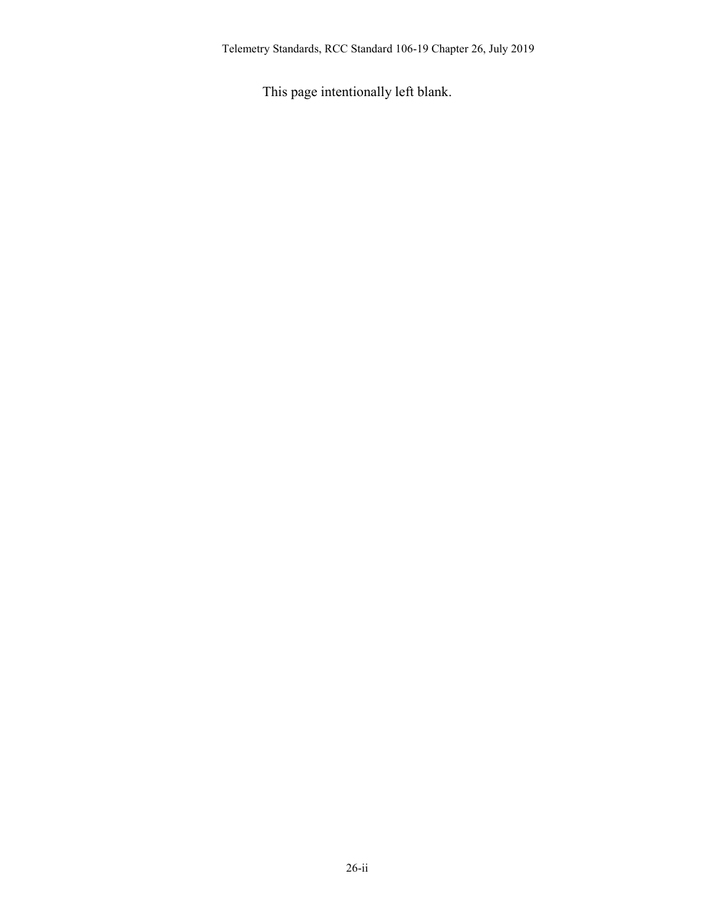This page intentionally left blank.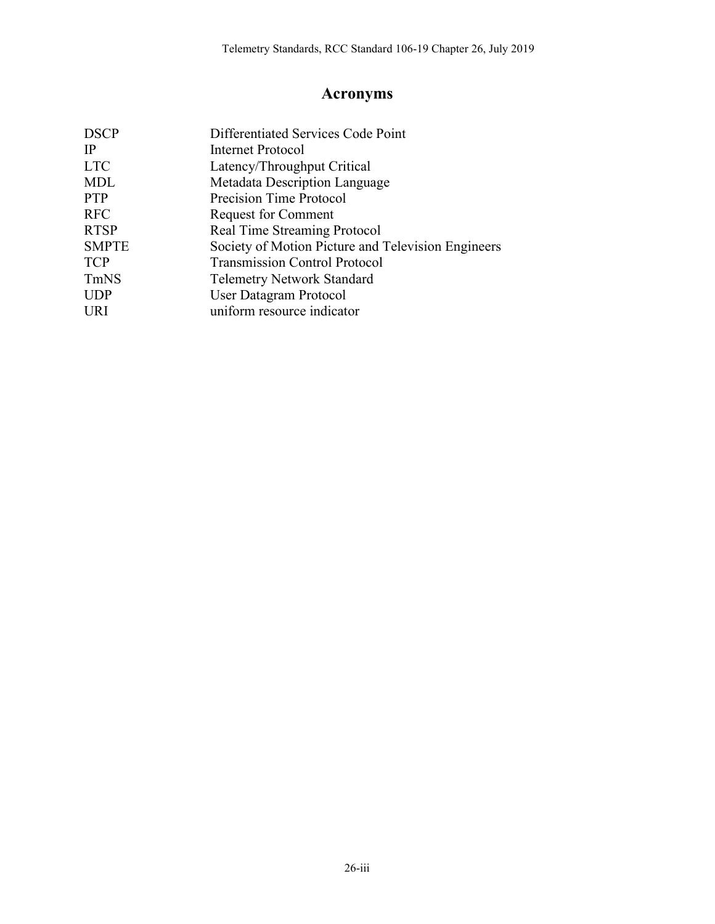# <span id="page-2-0"></span>**Acronyms**

| <b>DSCP</b>  | Differentiated Services Code Point                 |
|--------------|----------------------------------------------------|
| IP           | <b>Internet Protocol</b>                           |
| <b>LTC</b>   | Latency/Throughput Critical                        |
| <b>MDL</b>   | Metadata Description Language                      |
| <b>PTP</b>   | Precision Time Protocol                            |
| <b>RFC</b>   | <b>Request for Comment</b>                         |
| <b>RTSP</b>  | Real Time Streaming Protocol                       |
| <b>SMPTE</b> | Society of Motion Picture and Television Engineers |
| <b>TCP</b>   | <b>Transmission Control Protocol</b>               |
| <b>TmNS</b>  | <b>Telemetry Network Standard</b>                  |
| <b>UDP</b>   | <b>User Datagram Protocol</b>                      |
| <b>URI</b>   | uniform resource indicator                         |
|              |                                                    |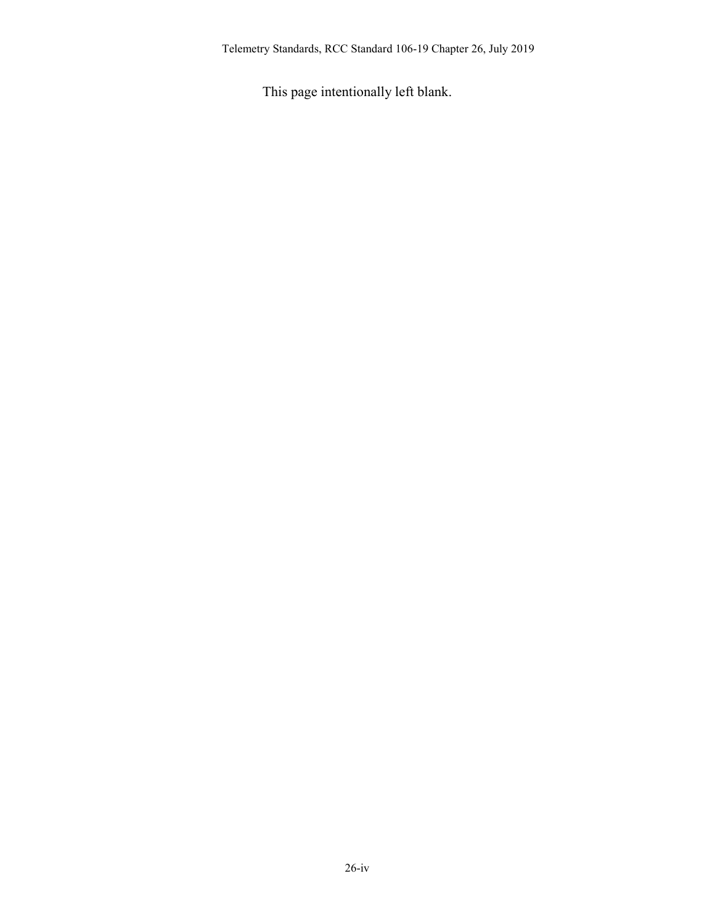This page intentionally left blank.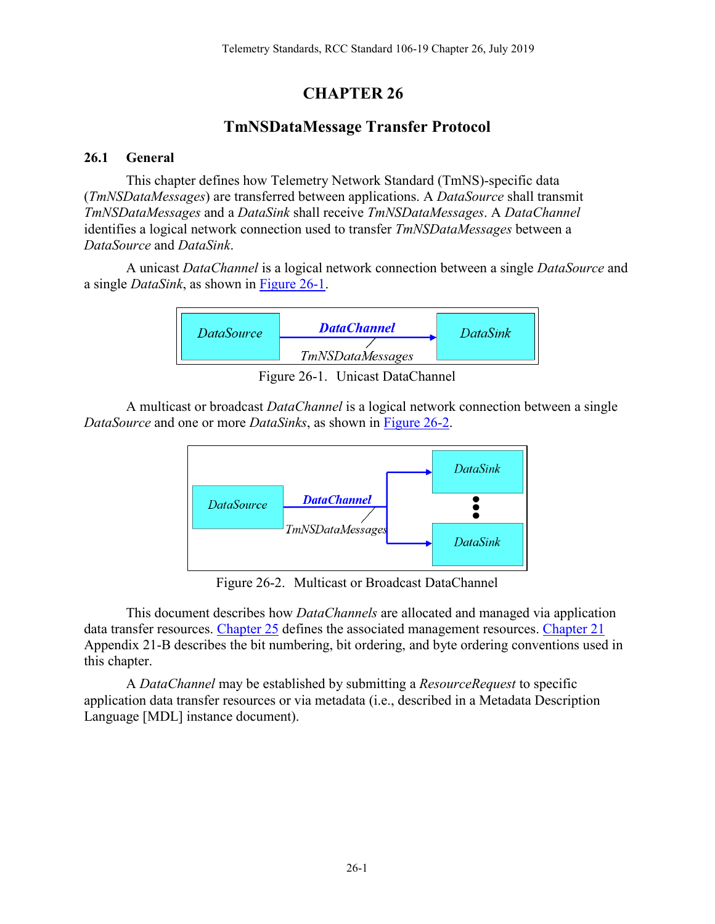# <span id="page-4-0"></span>**CHAPTER 26**

# **TmNSDataMessage Transfer Protocol**

### <span id="page-4-1"></span>**26.1 General**

This chapter defines how Telemetry Network Standard (TmNS)-specific data (*TmNSDataMessages*) are transferred between applications. A *DataSource* shall transmit *TmNSDataMessages* and a *DataSink* shall receive *TmNSDataMessages*. A *DataChannel* identifies a logical network connection used to transfer *TmNSDataMessages* between a *DataSource* and *DataSink*.

A unicast *DataChannel* is a logical network connection between a single *DataSource* and a single *DataSink*, as shown in [Figure 26-1.](#page-4-2)



Figure 26-1. Unicast DataChannel

<span id="page-4-2"></span>A multicast or broadcast *DataChannel* is a logical network connection between a single *DataSource* and one or more *DataSinks*, as shown in [Figure 26-2.](#page-4-3)



Figure 26-2. Multicast or Broadcast DataChannel

<span id="page-4-3"></span>This document describes how *DataChannels* are allocated and managed via application data transfer resources. [Chapter 25](http://www.wsmr.army.mil/RCCsite/Documents/106-19_Telemetry_Standards/Chapter25.pdf) defines the associated management resources. [Chapter 21](http://www.wsmr.army.mil/RCCsite/Documents/106-19_Telemetry_Standards/Chapter21.pdf) Appendix 21-B describes the bit numbering, bit ordering, and byte ordering conventions used in this chapter.

A *DataChannel* may be established by submitting a *ResourceRequest* to specific application data transfer resources or via metadata (i.e., described in a Metadata Description Language [MDL] instance document).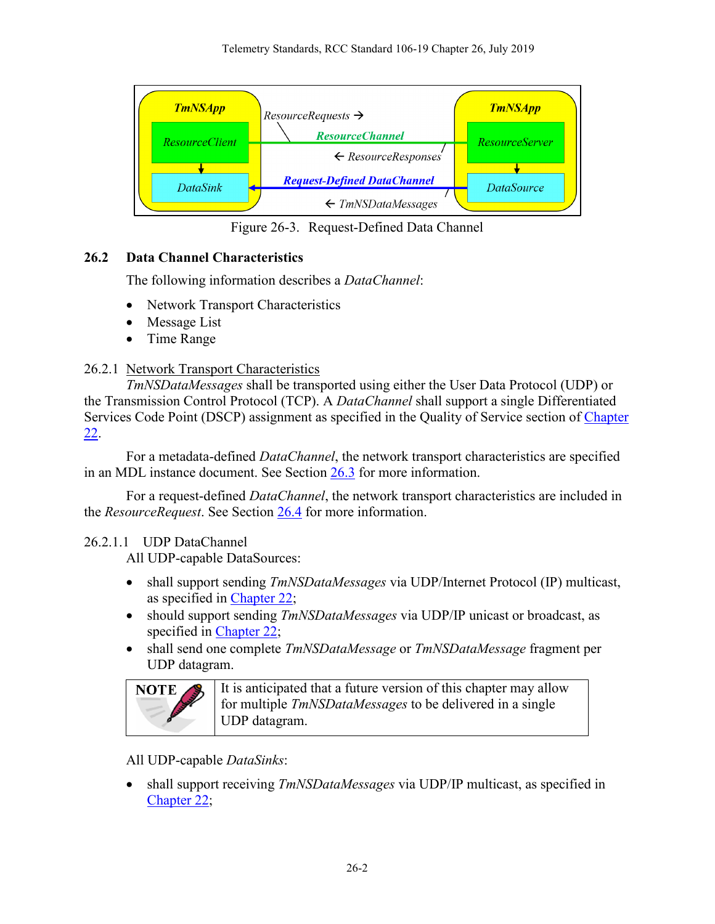

Figure 26-3. Request-Defined Data Channel

# <span id="page-5-2"></span><span id="page-5-0"></span>**26.2 Data Channel Characteristics**

The following information describes a *DataChannel*:

- Network Transport Characteristics
- Message List
- Time Range

## <span id="page-5-1"></span>26.2.1 Network Transport Characteristics

*TmNSDataMessages* shall be transported using either the User Data Protocol (UDP) or the Transmission Control Protocol (TCP). A *DataChannel* shall support a single Differentiated Services Code Point (DSCP) assignment as specified in the Quality of Service section of Chapter [22.](http://www.wsmr.army.mil/RCCsite/Documents/106-19_Telemetry_Standards/Chapter22.pdf)

For a metadata-defined *DataChannel*, the network transport characteristics are specified in an MDL instance document. See Section [26.3](#page-6-2) for more information.

For a request-defined *DataChannel*, the network transport characteristics are included in the *ResourceRequest*. See Section [26.4](#page-7-0) for more information.

### <span id="page-5-3"></span>26.2.1.1 UDP DataChannel

All UDP-capable DataSources:

- shall support sending *TmNSDataMessages* via UDP/Internet Protocol (IP) multicast, as specified in [Chapter 22;](http://www.wsmr.army.mil/RCCsite/Documents/106-19_Telemetry_Standards/Chapter22.pdf)
- should support sending *TmNSDataMessages* via UDP/IP unicast or broadcast, as specified in [Chapter 22;](http://www.wsmr.army.mil/RCCsite/Documents/106-19_Telemetry_Standards/Chapter22.pdf)
- shall send one complete *TmNSDataMessage* or *TmNSDataMessage* fragment per UDP datagram.



It is anticipated that a future version of this chapter may allow for multiple *TmNSDataMessages* to be delivered in a single UDP datagram.

All UDP-capable *DataSinks*:

• shall support receiving *TmNSDataMessages* via UDP/IP multicast, as specified in [Chapter 22;](http://www.wsmr.army.mil/RCCsite/Documents/106-19_Telemetry_Standards/Chapter22.pdf)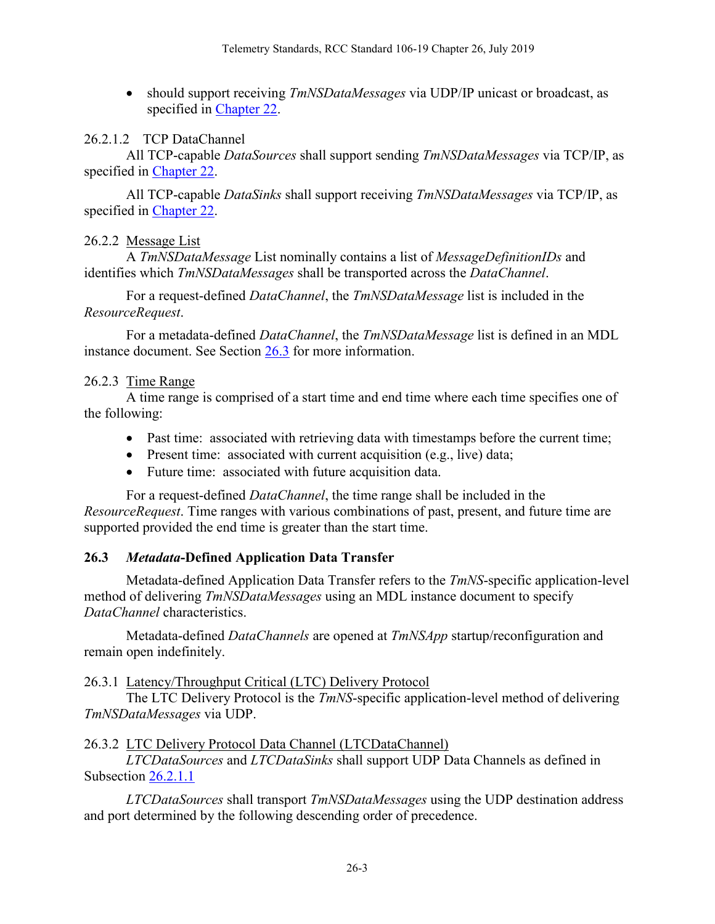• should support receiving *TmNSDataMessages* via UDP/IP unicast or broadcast, as specified in [Chapter 22.](http://www.wsmr.army.mil/RCCsite/Documents/106-19_Telemetry_Standards/Chapter22.pdf)

## 26.2.1.2 TCP DataChannel

All TCP-capable *DataSources* shall support sending *TmNSDataMessages* via TCP/IP, as specified in [Chapter 22.](http://www.wsmr.army.mil/RCCsite/Documents/106-19_Telemetry_Standards/Chapter22.pdf)

All TCP-capable *DataSinks* shall support receiving *TmNSDataMessages* via TCP/IP, as specified in [Chapter 22.](http://www.wsmr.army.mil/RCCsite/Documents/106-19_Telemetry_Standards/Chapter22.pdf)

## <span id="page-6-0"></span>26.2.2 Message List

A *TmNSDataMessage* List nominally contains a list of *MessageDefinitionIDs* and identifies which *TmNSDataMessages* shall be transported across the *DataChannel*.

For a request-defined *DataChannel*, the *TmNSDataMessage* list is included in the *ResourceRequest*.

For a metadata-defined *DataChannel*, the *TmNSDataMessage* list is defined in an MDL instance document. See Section [26.3](#page-6-2) for more information.

## <span id="page-6-1"></span>26.2.3 Time Range

A time range is comprised of a start time and end time where each time specifies one of the following:

- Past time: associated with retrieving data with timestamps before the current time;
- Present time: associated with current acquisition (e.g., live) data;
- Future time: associated with future acquisition data.

For a request-defined *DataChannel*, the time range shall be included in the *ResourceRequest*. Time ranges with various combinations of past, present, and future time are supported provided the end time is greater than the start time.

# <span id="page-6-2"></span>**26.3** *Metadata***-Defined Application Data Transfer**

Metadata-defined Application Data Transfer refers to the *TmNS*-specific application-level method of delivering *TmNSDataMessages* using an MDL instance document to specify *DataChannel* characteristics.

Metadata-defined *DataChannels* are opened at *TmNSApp* startup/reconfiguration and remain open indefinitely.

# <span id="page-6-3"></span>26.3.1 Latency/Throughput Critical (LTC) Delivery Protocol

The LTC Delivery Protocol is the *TmNS*-specific application-level method of delivering *TmNSDataMessages* via UDP.

### <span id="page-6-4"></span>26.3.2 LTC Delivery Protocol Data Channel (LTCDataChannel)

*LTCDataSources* and *LTCDataSinks* shall support UDP Data Channels as defined in Subsection [26.2.1.1](#page-5-3)

*LTCDataSources* shall transport *TmNSDataMessages* using the UDP destination address and port determined by the following descending order of precedence.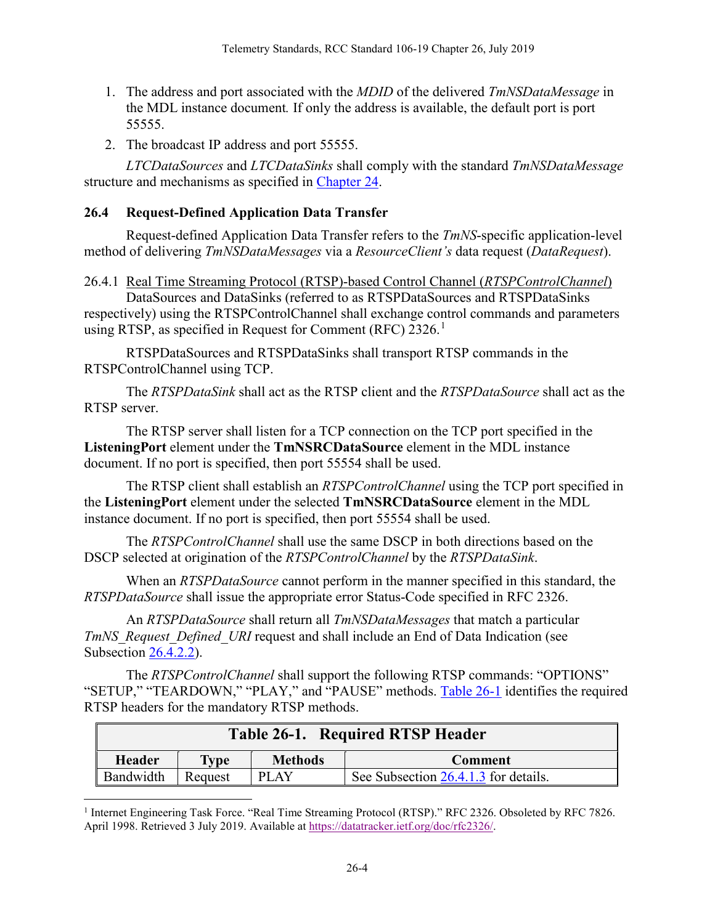- 1. The address and port associated with the *MDID* of the delivered *TmNSDataMessage* in the MDL instance document*.* If only the address is available, the default port is port 55555.
- 2. The broadcast IP address and port 55555.

*LTCDataSources* and *LTCDataSinks* shall comply with the standard *TmNSDataMessage*  structure and mechanisms as specified in [Chapter 24.](http://www.wsmr.army.mil/RCCsite/Documents/106-19_Telemetry_Standards/Chapter24.pdf)

## <span id="page-7-0"></span>**26.4 Request-Defined Application Data Transfer**

Request-defined Application Data Transfer refers to the *TmNS*-specific application-level method of delivering *TmNSDataMessages* via a *ResourceClient's* data request (*DataRequest*).

<span id="page-7-1"></span>26.4.1 Real Time Streaming Protocol (RTSP)-based Control Channel (*RTSPControlChannel*) DataSources and DataSinks (referred to as RTSPDataSources and RTSPDataSinks

respectively) using the RTSPControlChannel shall exchange control commands and parameters using RTSP, as specified in Request for Comment (RFC) 2326.<sup>[1](#page-7-3)</sup>

RTSPDataSources and RTSPDataSinks shall transport RTSP commands in the RTSPControlChannel using TCP.

The *RTSPDataSink* shall act as the RTSP client and the *RTSPDataSource* shall act as the RTSP server.

The RTSP server shall listen for a TCP connection on the TCP port specified in the **ListeningPort** element under the **TmNSRCDataSource** element in the MDL instance document. If no port is specified, then port 55554 shall be used.

The RTSP client shall establish an *RTSPControlChannel* using the TCP port specified in the **ListeningPort** element under the selected **TmNSRCDataSource** element in the MDL instance document. If no port is specified, then port 55554 shall be used.

The *RTSPControlChannel* shall use the same DSCP in both directions based on the DSCP selected at origination of the *RTSPControlChannel* by the *RTSPDataSink*.

When an *RTSPDataSource* cannot perform in the manner specified in this standard, the *RTSPDataSource* shall issue the appropriate error Status-Code specified in RFC 2326.

An *RTSPDataSource* shall return all *TmNSDataMessages* that match a particular *TmNS\_Request\_Defined\_URI* request and shall include an End of Data Indication (see Subsection [26.4.2.2\)](#page-16-1).

The *RTSPControlChannel* shall support the following RTSP commands: "OPTIONS" "SETUP," "TEARDOWN," "PLAY," and "PAUSE" methods. [Table 26-1](#page-7-2) identifies the required RTSP headers for the mandatory RTSP methods.

<span id="page-7-2"></span>

| Table 26-1. Required RTSP Header |         |                |                                      |
|----------------------------------|---------|----------------|--------------------------------------|
| <b>Header</b>                    | Type    | <b>Methods</b> | Comment                              |
| Bandwidth                        | Request | <b>PLAY</b>    | See Subsection 26.4.1.3 for details. |

<span id="page-7-3"></span><sup>1</sup> Internet Engineering Task Force. "Real Time Streaming Protocol (RTSP)." RFC 2326. Obsoleted by RFC 7826. April 1998. Retrieved 3 July 2019. Available a[t https://datatracker.ietf.org/doc/rfc2326/.](https://datatracker.ietf.org/doc/rfc2326/)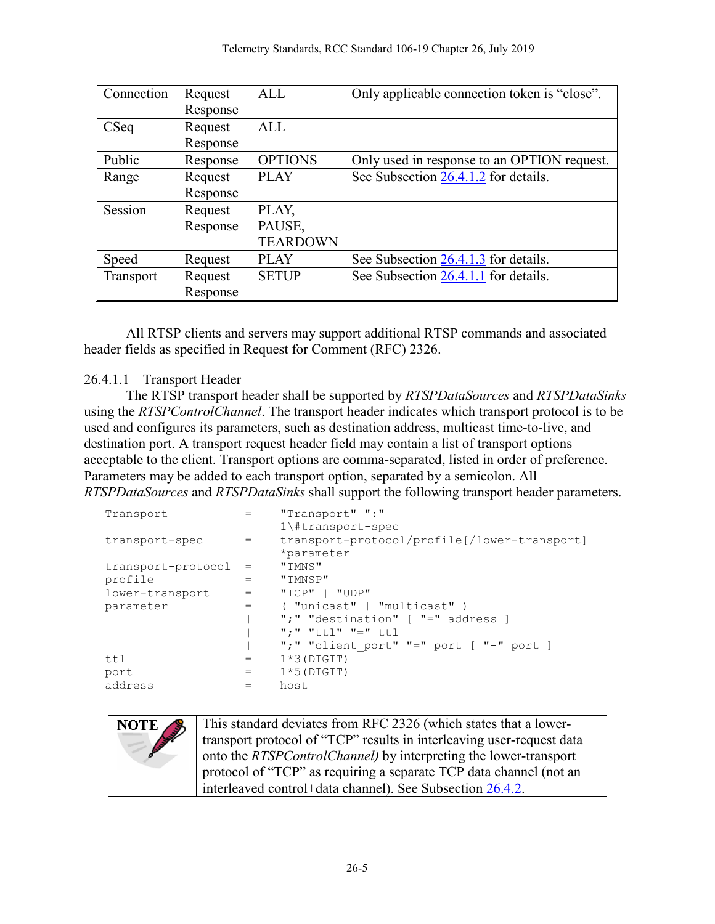| Connection | Request  | <b>ALL</b>      | Only applicable connection token is "close". |
|------------|----------|-----------------|----------------------------------------------|
|            | Response |                 |                                              |
| CSeq       | Request  | <b>ALL</b>      |                                              |
|            | Response |                 |                                              |
| Public     | Response | <b>OPTIONS</b>  | Only used in response to an OPTION request.  |
| Range      | Request  | <b>PLAY</b>     | See Subsection 26.4.1.2 for details.         |
|            | Response |                 |                                              |
| Session    | Request  | PLAY,           |                                              |
|            | Response | PAUSE,          |                                              |
|            |          | <b>TEARDOWN</b> |                                              |
| Speed      | Request  | <b>PLAY</b>     | See Subsection 26.4.1.3 for details.         |
| Transport  | Request  | <b>SETUP</b>    | See Subsection 26.4.1.1 for details.         |
|            | Response |                 |                                              |

All RTSP clients and servers may support additional RTSP commands and associated header fields as specified in Request for Comment (RFC) 2326.

## <span id="page-8-0"></span>26.4.1.1 Transport Header

The RTSP transport header shall be supported by *RTSPDataSources* and *RTSPDataSinks* using the *RTSPControlChannel*. The transport header indicates which transport protocol is to be used and configures its parameters, such as destination address, multicast time-to-live, and destination port. A transport request header field may contain a list of transport options acceptable to the client. Transport options are comma-separated, listed in order of preference. Parameters may be added to each transport option, separated by a semicolon. All *RTSPDataSources* and *RTSPDataSinks* shall support the following transport header parameters.

| Transport          |     | "Transport" ":"                              |
|--------------------|-----|----------------------------------------------|
|                    |     | $1$ \#transport-spec                         |
| transport-spec     | $=$ | transport-protocol/profile[/lower-transport] |
|                    |     | *parameter                                   |
| transport-protocol | $=$ | "TMNS"                                       |
| profile            | $=$ | "TMNSP"                                      |
| lower-transport    | $=$ | "TCP"   "UDP"                                |
| parameter          | $=$ | ( "unicast"   "multicast" )                  |
|                    |     | ";" "destination" [ "=" address ]            |
|                    |     | $"$ ;" "ttl" "=" ttl                         |
|                    |     | ";" "client port" "=" port [ "-" port ]      |
| ttl                | $=$ | $1*3$ (DIGIT)                                |
| port               | $=$ | $1*5(DIGIT)$                                 |
| address            | $=$ | host                                         |
|                    |     |                                              |

| NOTE $\mathcal{S}$ | This standard deviates from RFC 2326 (which states that a lower-         |
|--------------------|--------------------------------------------------------------------------|
| <b>Sold</b>        | transport protocol of "TCP" results in interleaving user-request data    |
|                    | onto the <i>RTSPControlChannel</i> ) by interpreting the lower-transport |
|                    | protocol of "TCP" as requiring a separate TCP data channel (not an       |
|                    | interleaved control+data channel). See Subsection 26.4.2.                |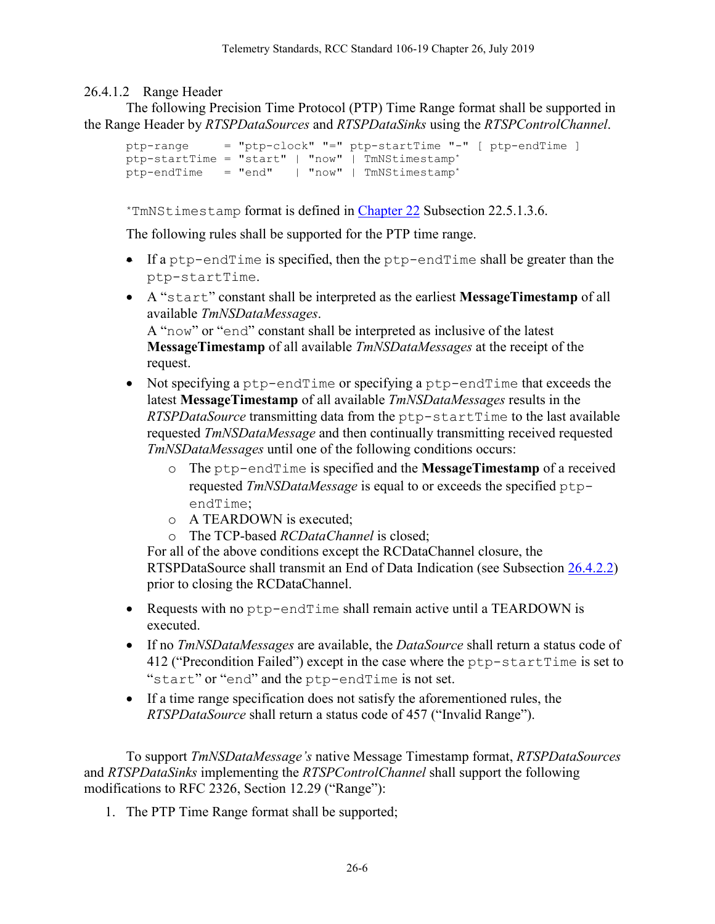## <span id="page-9-0"></span>26.4.1.2 Range Header

The following Precision Time Protocol (PTP) Time Range format shall be supported in the Range Header by *RTSPDataSources* and *RTSPDataSinks* using the *RTSPControlChannel*.

```
ptp-range = "ptp-clock" "=" ptp-startTime "-" [ ptp-endTime ] 
ptp-startTime = "start" | "now" | TmNStimestamp*
ptp-endTime = "end" | "now" | TmNStimestamp*
```
\*TmNStimestamp format is defined in [Chapter 22](http://www.wsmr.army.mil/RCCsite/Documents/106-19_Telemetry_Standards/Chapter22.pdf) Subsection 22.5.1.3.6.

The following rules shall be supported for the PTP time range.

- If a ptp-endTime is specified, then the ptp-endTime shall be greater than the ptp-startTime.
- A "start" constant shall be interpreted as the earliest **MessageTimestamp** of all available *TmNSDataMessages*. A "now" or "end" constant shall be interpreted as inclusive of the latest **MessageTimestamp** of all available *TmNSDataMessages* at the receipt of the

request.

- Not specifying a ptp-endTime or specifying a ptp-endTime that exceeds the latest **MessageTimestamp** of all available *TmNSDataMessages* results in the *RTSPDataSource* transmitting data from the ptp-startTime to the last available requested *TmNSDataMessage* and then continually transmitting received requested *TmNSDataMessages* until one of the following conditions occurs:
	- o The ptp-endTime is specified and the **MessageTimestamp** of a received requested *TmNSDataMessage* is equal to or exceeds the specified ptpendTime;
	- o A TEARDOWN is executed;
	- o The TCP-based *RCDataChannel* is closed;

For all of the above conditions except the RCDataChannel closure, the RTSPDataSource shall transmit an End of Data Indication (see Subsection [26.4.2.2\)](#page-16-1) prior to closing the RCDataChannel.

- Requests with no ptp-endTime shall remain active until a TEARDOWN is executed.
- If no *TmNSDataMessages* are available, the *DataSource* shall return a status code of 412 ("Precondition Failed") except in the case where the ptp-startTime is set to "start" or "end" and the ptp-endTime is not set.
- If a time range specification does not satisfy the aforementioned rules, the *RTSPDataSource* shall return a status code of 457 ("Invalid Range").

To support *TmNSDataMessage's* native Message Timestamp format, *RTSPDataSources*  and *RTSPDataSinks* implementing the *RTSPControlChannel* shall support the following modifications to RFC 2326, Section 12.29 ("Range"):

1. The PTP Time Range format shall be supported;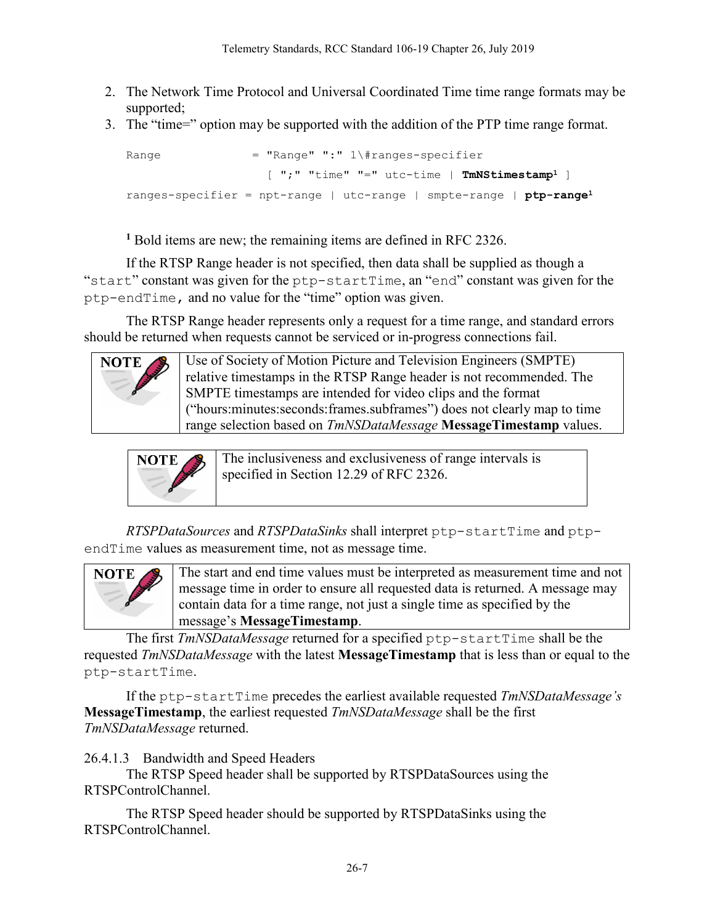- 2. The Network Time Protocol and Universal Coordinated Time time range formats may be supported;
- 3. The "time=" option may be supported with the addition of the PTP time range format.

```
Range = "Range" " : " 1\#ranges-specific r [ ";" "time" "=" utc-time | TmNStimestamp1 ] 
ranges-specifier = npt-range | utc-range | smpte-range | ptp-range1
```
**<sup>1</sup>** Bold items are new; the remaining items are defined in RFC 2326.

If the RTSP Range header is not specified, then data shall be supplied as though a "start" constant was given for the ptp-startTime, an "end" constant was given for the ptp-endTime, and no value for the "time" option was given.

The RTSP Range header represents only a request for a time range, and standard errors should be returned when requests cannot be serviced or in-progress connections fail.



The inclusiveness and exclusiveness of range intervals is specified in Section 12.29 of RFC 2326.

*RTSPDataSources* and *RTSPDataSinks* shall interpret ptp-startTime and ptpendTime values as measurement time, not as message time.



The first *TmNSDataMessage* returned for a specified ptp-startTime shall be the requested *TmNSDataMessage* with the latest **MessageTimestamp** that is less than or equal to the ptp-startTime.

If the ptp-startTime precedes the earliest available requested *TmNSDataMessage's* **MessageTimestamp**, the earliest requested *TmNSDataMessage* shall be the first *TmNSDataMessage* returned.

<span id="page-10-0"></span>26.4.1.3 Bandwidth and Speed Headers

**NOTE** 

The RTSP Speed header shall be supported by RTSPDataSources using the RTSPControlChannel.

The RTSP Speed header should be supported by RTSPDataSinks using the RTSPControlChannel.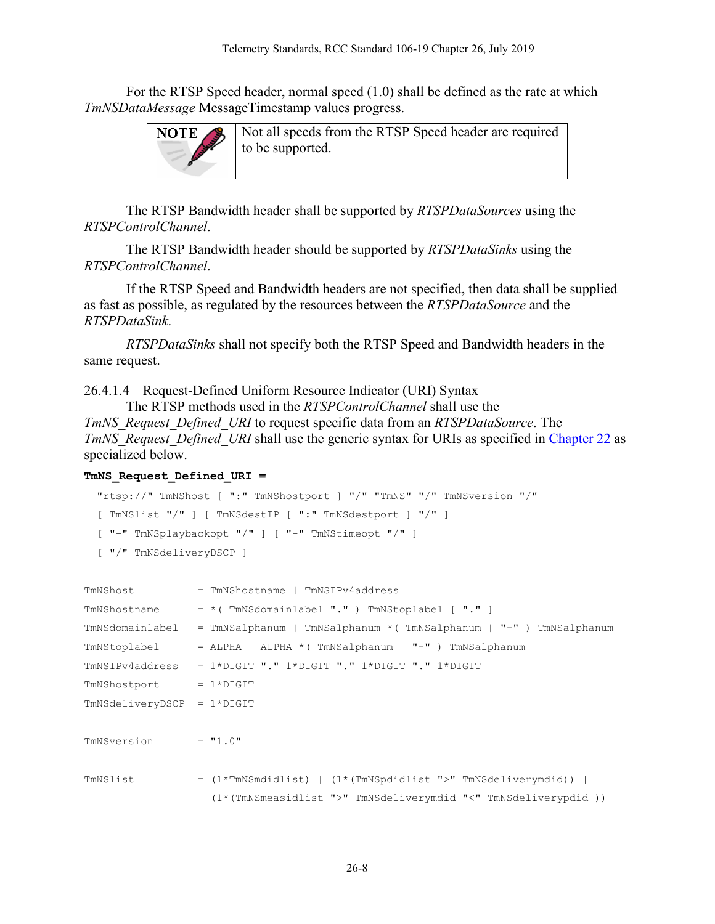For the RTSP Speed header, normal speed (1.0) shall be defined as the rate at which *TmNSDataMessage* MessageTimestamp values progress.



The RTSP Bandwidth header shall be supported by *RTSPDataSources* using the *RTSPControlChannel*.

The RTSP Bandwidth header should be supported by *RTSPDataSinks* using the *RTSPControlChannel*.

If the RTSP Speed and Bandwidth headers are not specified, then data shall be supplied as fast as possible, as regulated by the resources between the *RTSPDataSource* and the *RTSPDataSink*.

*RTSPDataSinks* shall not specify both the RTSP Speed and Bandwidth headers in the same request.

26.4.1.4 Request-Defined Uniform Resource Indicator (URI) Syntax

The RTSP methods used in the *RTSPControlChannel* shall use the *TmNS\_Request\_Defined\_URI* to request specific data from an *RTSPDataSource*. The *TmNS* Request Defined URI shall use the generic syntax for URIs as specified in [Chapter 22](http://www.wsmr.army.mil/RCCsite/Documents/106-19_Telemetry_Standards/Chapter22.pdf) as specialized below.

#### **TmNS\_Request\_Defined\_URI =**

```
 "rtsp://" TmNShost [ ":" TmNShostport ] "/" "TmNS" "/" TmNSversion "/" 
 [ TmNSlist "/" ] [ TmNSdestIP [ ":" TmNSdestport ] "/" ]
 [ "-" TmNSplaybackopt "/" ] [ "-" TmNStimeopt "/" ]
 [ "/" TmNSdeliveryDSCP ]
```

| TmNShost         | = TmNShostname   TmNSIPv4address                                    |
|------------------|---------------------------------------------------------------------|
| TmNShostname     | $=$ *(TmNSdomainlabel ".") TmNStoplabel [ "." ]                     |
| TmNSdomainlabel  | = TmNSalphanum   TmNSalphanum * ( TmNSalphanum   "-" ) TmNSalphanum |
| TmNStoplabel     | $=$ ALPHA   ALPHA $*($ TmNSalphanum   "-" ) TmNSalphanum            |
| TmNSIPv4address  | $=$ 1*DIGIT "." 1*DIGIT "." 1*DIGIT "." 1*DIGIT                     |
| TmNShostport     | $= 1 * DIGIT$                                                       |
| TmNSdeliveryDSCP | $= 1*DTGIT$                                                         |
|                  |                                                                     |
| TmNSversion      | $= "1.0"$                                                           |
|                  |                                                                     |
| TmNSlist         | $=$ (1*TmNSmdidlist)   (1*(TmNSpdidlist ">" TmNSdeliverymdid))      |
|                  | (1*(TmNSmeasidlist ">" TmNSdeliverymdid "<" TmNSdeliverypdid ))     |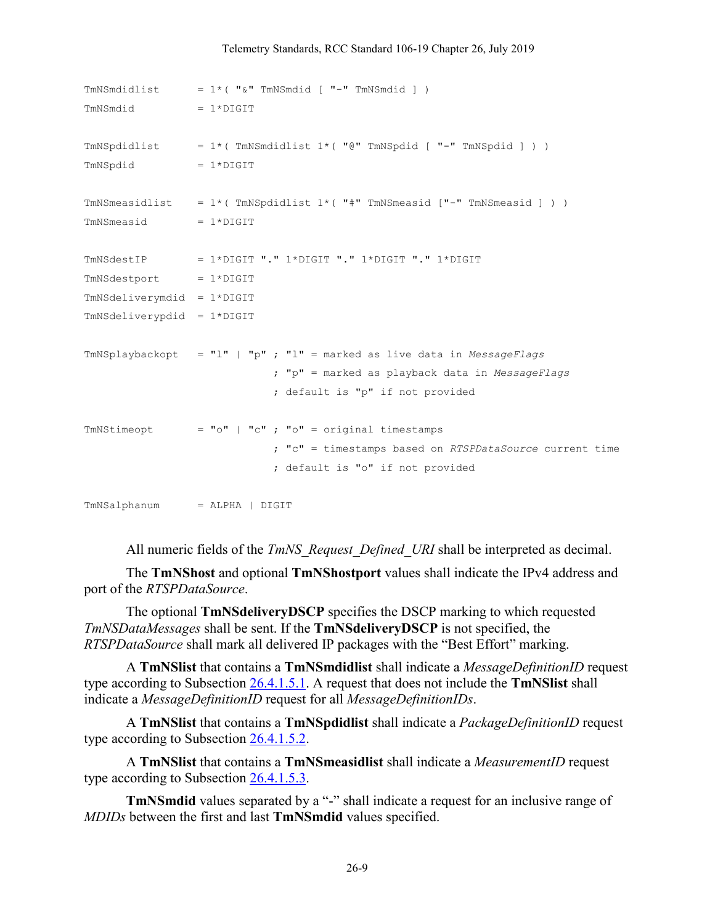```
TmNSmdidlist = 1*( "&" TmNSmdid [ "-" TmNSmdid ] )
TmNSmdid = 1*DIGIT 
TmNSpdidlist = 1*( TmNSmdidlist 1*( "@" TmNSpdid [ "-" TmNSpdid ] ) )
TmNSpdid = 1*DIGIT 
TmNSmeasidlist = 1*( TmNSpdidlist 1*( "#" TmNSmeasid ["-" TmNSmeasid ] ) ) 
TmNSmeasid = 1*DIGIT
TmNSdestIP = 1*DIGIT "." 1*DIGIT "." 1*DIGIT "." 1*DIGIT
TmNSdestport = 1*DIGIT
TmNSdeliverymdid = 1*DIGIT 
TmNSdeliverypdid = 1*DIGIT 
TmNSplaybackopt = "l" | "p" ; "l" = marked as live data in MessageFlags
                             ; "p" = marked as playback data in MessageFlags 
                            ; default is "p" if not provided 
TmNStimeopt = "o" | "c" ; "o" = original timestamps
                             ; "c" = timestamps based on RTSPDataSource current time 
                            ; default is "o" if not provided 
TmNSalphanum = ALPHA | DIGIT
```
All numeric fields of the *TmNS* Request Defined URI shall be interpreted as decimal.

The **TmNShost** and optional **TmNShostport** values shall indicate the IPv4 address and port of the *RTSPDataSource*.

The optional **TmNSdeliveryDSCP** specifies the DSCP marking to which requested *TmNSDataMessages* shall be sent. If the **TmNSdeliveryDSCP** is not specified, the *RTSPDataSource* shall mark all delivered IP packages with the "Best Effort" marking.

A **TmNSlist** that contains a **TmNSmdidlist** shall indicate a *MessageDefinitionID* request type according to Subsection [26.4.1.5.1.](#page-14-0) A request that does not include the **TmNSlist** shall indicate a *MessageDefinitionID* request for all *MessageDefinitionIDs*.

A **TmNSlist** that contains a **TmNSpdidlist** shall indicate a *PackageDefinitionID* request type according to Subsection [26.4.1.5.2.](#page-14-1)

A **TmNSlist** that contains a **TmNSmeasidlist** shall indicate a *MeasurementID* request type according to Subsection [26.4.1.5.3.](#page-14-2)

**TmNSmdid** values separated by a "-" shall indicate a request for an inclusive range of *MDIDs* between the first and last **TmNSmdid** values specified.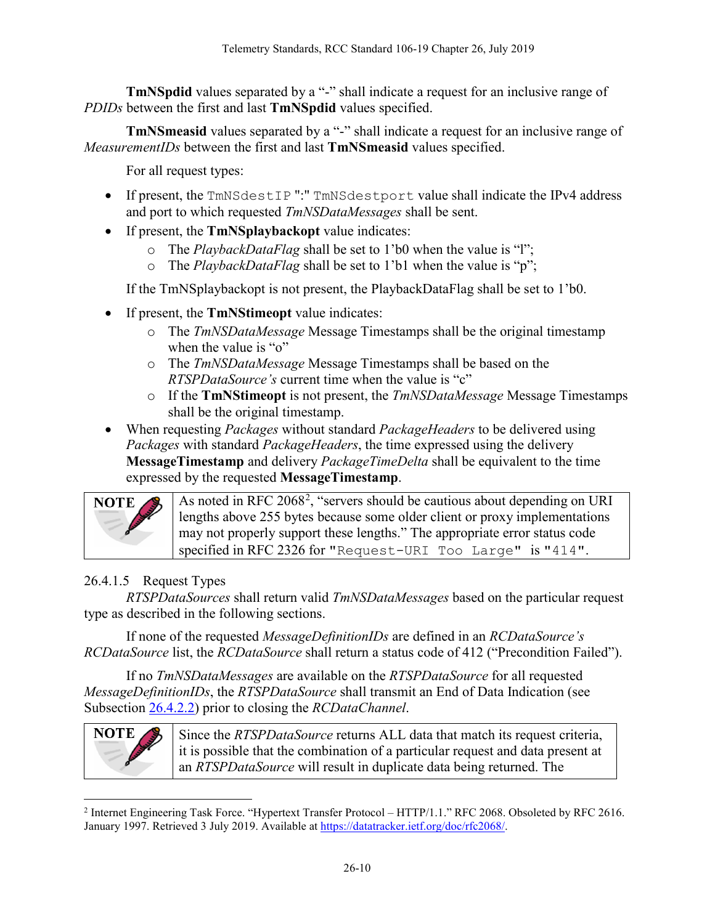**TmNSpdid** values separated by a "-" shall indicate a request for an inclusive range of *PDIDs* between the first and last **TmNSpdid** values specified.

**TmNSmeasid** values separated by a "-" shall indicate a request for an inclusive range of *MeasurementIDs* between the first and last **TmNSmeasid** values specified.

For all request types:

- If present, the TmNSdestIP ":" TmNSdestport value shall indicate the IPv4 address and port to which requested *TmNSDataMessages* shall be sent.
- If present, the **TmNSplaybackopt** value indicates:
	- o The *PlaybackDataFlag* shall be set to 1'b0 when the value is "l";
	- o The *PlaybackDataFlag* shall be set to 1'b1 when the value is "p";

If the TmNSplaybackopt is not present, the PlaybackDataFlag shall be set to 1'b0.

- If present, the **TmNStimeopt** value indicates:
	- o The *TmNSDataMessage* Message Timestamps shall be the original timestamp when the value is "o"
	- o The *TmNSDataMessage* Message Timestamps shall be based on the *RTSPDataSource's* current time when the value is "c"
	- o If the **TmNStimeopt** is not present, the *TmNSDataMessage* Message Timestamps shall be the original timestamp.
- When requesting *Packages* without standard *PackageHeaders* to be delivered using *Packages* with standard *PackageHeaders*, the time expressed using the delivery **MessageTimestamp** and delivery *PackageTimeDelta* shall be equivalent to the time expressed by the requested **MessageTimestamp**.



As noted in RFC [2](#page-13-0)068<sup>2</sup>, "servers should be cautious about depending on URI lengths above 255 bytes because some older client or proxy implementations may not properly support these lengths." The appropriate error status code specified in RFC 2326 for "Request-URI Too Large" is "414".

# <span id="page-13-1"></span>26.4.1.5 Request Types

*RTSPDataSources* shall return valid *TmNSDataMessages* based on the particular request type as described in the following sections.

If none of the requested *MessageDefinitionIDs* are defined in an *RCDataSource's RCDataSource* list, the *RCDataSource* shall return a status code of 412 ("Precondition Failed").

If no *TmNSDataMessages* are available on the *RTSPDataSource* for all requested *MessageDefinitionIDs*, the *RTSPDataSource* shall transmit an End of Data Indication (see Subsection [26.4.2.2\)](#page-16-1) prior to closing the *RCDataChannel*.



Since the *RTSPDataSource* returns ALL data that match its request criteria, it is possible that the combination of a particular request and data present at an *RTSPDataSource* will result in duplicate data being returned. The

<span id="page-13-0"></span> <sup>2</sup> Internet Engineering Task Force. "Hypertext Transfer Protocol – HTTP/1.1." RFC 2068. Obsoleted by RFC 2616. January 1997. Retrieved 3 July 2019. Available a[t https://datatracker.ietf.org/doc/rfc2068/.](https://datatracker.ietf.org/doc/rfc2068/)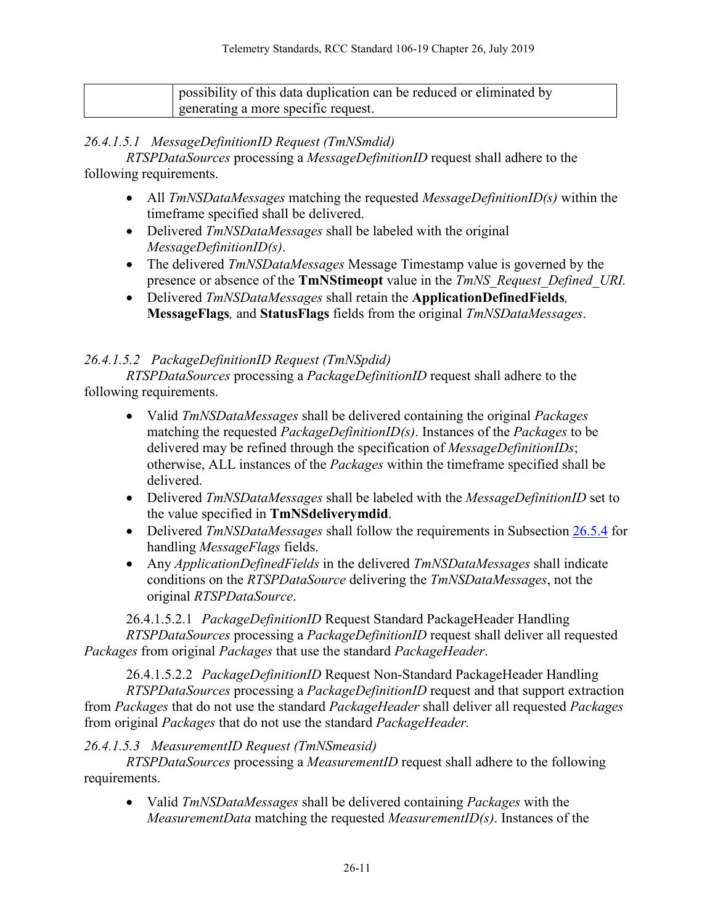| possibility of this data duplication can be reduced or eliminated by |
|----------------------------------------------------------------------|
| generating a more specific request.                                  |

### <span id="page-14-0"></span>*26.4.1.5.1 MessageDefinitionID Request (TmNSmdid)*

*RTSPDataSources* processing a *MessageDefinitionID* request shall adhere to the following requirements.

- All *TmNSDataMessages* matching the requested *MessageDefinitionID(s)* within the timeframe specified shall be delivered.
- Delivered *TmNSDataMessages* shall be labeled with the original *MessageDefinitionID(s)*.
- The delivered *TmNSDataMessages* Message Timestamp value is governed by the presence or absence of the **TmNStimeopt** value in the *TmNS\_Request\_Defined\_URI.*
- Delivered *TmNSDataMessages* shall retain the **ApplicationDefinedFields***,*  **MessageFlags***,* and **StatusFlags** fields from the original *TmNSDataMessages*.

# <span id="page-14-1"></span>*26.4.1.5.2 PackageDefinitionID Request (TmNSpdid)*

*RTSPDataSources* processing a *PackageDefinitionID* request shall adhere to the following requirements.

- Valid *TmNSDataMessages* shall be delivered containing the original *Packages*  matching the requested *PackageDefinitionID(s)*. Instances of the *Packages* to be delivered may be refined through the specification of *MessageDefinitionIDs*; otherwise, ALL instances of the *Packages* within the timeframe specified shall be delivered.
- Delivered *TmNSDataMessages* shall be labeled with the *MessageDefinitionID* set to the value specified in **TmNSdeliverymdid**.
- Delivered *TmNSDataMessages* shall follow the requirements in Subsection [26.5.4](#page-19-0) for handling *MessageFlags* fields.
- Any *ApplicationDefinedFields* in the delivered *TmNSDataMessages* shall indicate conditions on the *RTSPDataSource* delivering the *TmNSDataMessages*, not the original *RTSPDataSource*.

26.4.1.5.2.1 *PackageDefinitionID* Request Standard PackageHeader Handling *RTSPDataSources* processing a *PackageDefinitionID* request shall deliver all requested *Packages* from original *Packages* that use the standard *PackageHeader*.

26.4.1.5.2.2 *PackageDefinitionID* Request Non-Standard PackageHeader Handling *RTSPDataSources* processing a *PackageDefinitionID* request and that support extraction from *Packages* that do not use the standard *PackageHeader* shall deliver all requested *Packages*  from original *Packages* that do not use the standard *PackageHeader.*

### <span id="page-14-2"></span>*26.4.1.5.3 MeasurementID Request (TmNSmeasid)*

*RTSPDataSources* processing a *MeasurementID* request shall adhere to the following requirements.

• Valid *TmNSDataMessages* shall be delivered containing *Packages* with the *MeasurementData* matching the requested *MeasurementID(s)*. Instances of the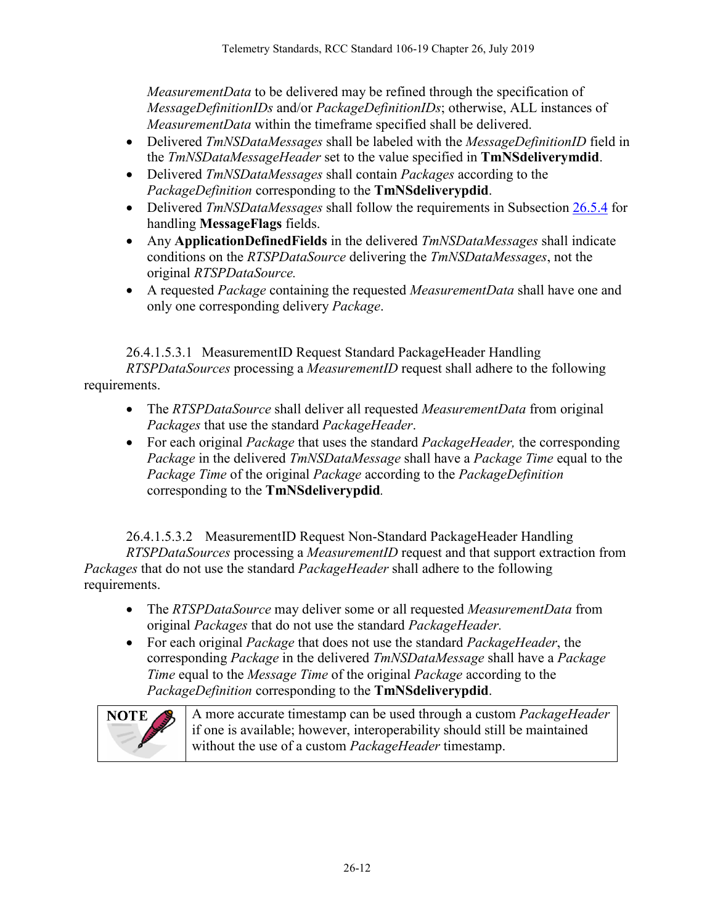*MeasurementData* to be delivered may be refined through the specification of *MessageDefinitionIDs* and/or *PackageDefinitionIDs*; otherwise, ALL instances of *MeasurementData* within the timeframe specified shall be delivered.

- Delivered *TmNSDataMessages* shall be labeled with the *MessageDefinitionID* field in the *TmNSDataMessageHeader* set to the value specified in **TmNSdeliverymdid**.
- Delivered *TmNSDataMessages* shall contain *Packages* according to the *PackageDefinition* corresponding to the **TmNSdeliverypdid**.
- Delivered *TmNSDataMessages* shall follow the requirements in Subsection [26.5.4](#page-19-0) for handling **MessageFlags** fields.
- Any **ApplicationDefinedFields** in the delivered *TmNSDataMessages* shall indicate conditions on the *RTSPDataSource* delivering the *TmNSDataMessages*, not the original *RTSPDataSource.*
- A requested *Package* containing the requested *MeasurementData* shall have one and only one corresponding delivery *Package*.

## 26.4.1.5.3.1 MeasurementID Request Standard PackageHeader Handling

*RTSPDataSources* processing a *MeasurementID* request shall adhere to the following requirements.

- The *RTSPDataSource* shall deliver all requested *MeasurementData* from original *Packages* that use the standard *PackageHeader*.
- For each original *Package* that uses the standard *PackageHeader,* the corresponding *Package* in the delivered *TmNSDataMessage* shall have a *Package Time* equal to the *Package Time* of the original *Package* according to the *PackageDefinition*  corresponding to the **TmNSdeliverypdid***.*

26.4.1.5.3.2 MeasurementID Request Non-Standard PackageHeader Handling *RTSPDataSources* processing a *MeasurementID* request and that support extraction from *Packages* that do not use the standard *PackageHeader* shall adhere to the following requirements.

- The *RTSPDataSource* may deliver some or all requested *MeasurementData* from original *Packages* that do not use the standard *PackageHeader.*
- For each original *Package* that does not use the standard *PackageHeader*, the corresponding *Package* in the delivered *TmNSDataMessage* shall have a *Package Time* equal to the *Message Time* of the original *Package* according to the *PackageDefinition* corresponding to the **TmNSdeliverypdid**.



A more accurate timestamp can be used through a custom *PackageHeader* if one is available; however, interoperability should still be maintained without the use of a custom *PackageHeader* timestamp.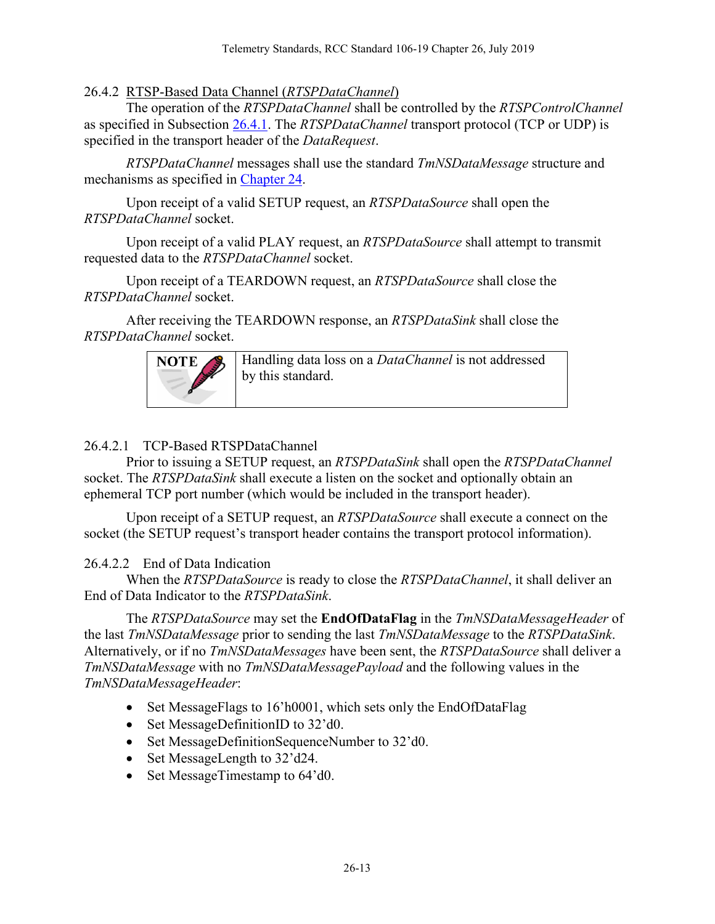<span id="page-16-0"></span>26.4.2 RTSP-Based Data Channel (*RTSPDataChannel*)

The operation of the *RTSPDataChannel* shall be controlled by the *RTSPControlChannel* as specified in Subsection [26.4.1.](#page-7-1) The *RTSPDataChannel* transport protocol (TCP or UDP) is specified in the transport header of the *DataRequest*.

*RTSPDataChannel* messages shall use the standard *TmNSDataMessage* structure and mechanisms as specified in [Chapter 24.](http://www.wsmr.army.mil/RCCsite/Documents/106-19_Telemetry_Standards/Chapter24.pdf)

Upon receipt of a valid SETUP request, an *RTSPDataSource* shall open the *RTSPDataChannel* socket.

Upon receipt of a valid PLAY request, an *RTSPDataSource* shall attempt to transmit requested data to the *RTSPDataChannel* socket.

Upon receipt of a TEARDOWN request, an *RTSPDataSource* shall close the *RTSPDataChannel* socket.

After receiving the TEARDOWN response, an *RTSPDataSink* shall close the *RTSPDataChannel* socket.



Handling data loss on a *DataChannel* is not addressed by this standard.

# 26.4.2.1 TCP-Based RTSPDataChannel

Prior to issuing a SETUP request, an *RTSPDataSink* shall open the *RTSPDataChannel* socket. The *RTSPDataSink* shall execute a listen on the socket and optionally obtain an ephemeral TCP port number (which would be included in the transport header).

Upon receipt of a SETUP request, an *RTSPDataSource* shall execute a connect on the socket (the SETUP request's transport header contains the transport protocol information).

<span id="page-16-1"></span>26.4.2.2 End of Data Indication

When the *RTSPDataSource* is ready to close the *RTSPDataChannel*, it shall deliver an End of Data Indicator to the *RTSPDataSink*.

The *RTSPDataSource* may set the **EndOfDataFlag** in the *TmNSDataMessageHeader* of the last *TmNSDataMessage* prior to sending the last *TmNSDataMessage* to the *RTSPDataSink*. Alternatively, or if no *TmNSDataMessages* have been sent, the *RTSPDataSource* shall deliver a *TmNSDataMessage* with no *TmNSDataMessagePayload* and the following values in the *TmNSDataMessageHeader*:

- Set MessageFlags to 16'h0001, which sets only the EndOfDataFlag
- Set MessageDefinitionID to 32'd0.
- Set MessageDefinitionSequenceNumber to 32'd0.
- Set MessageLength to 32'd24.
- Set MessageTimestamp to 64'd0.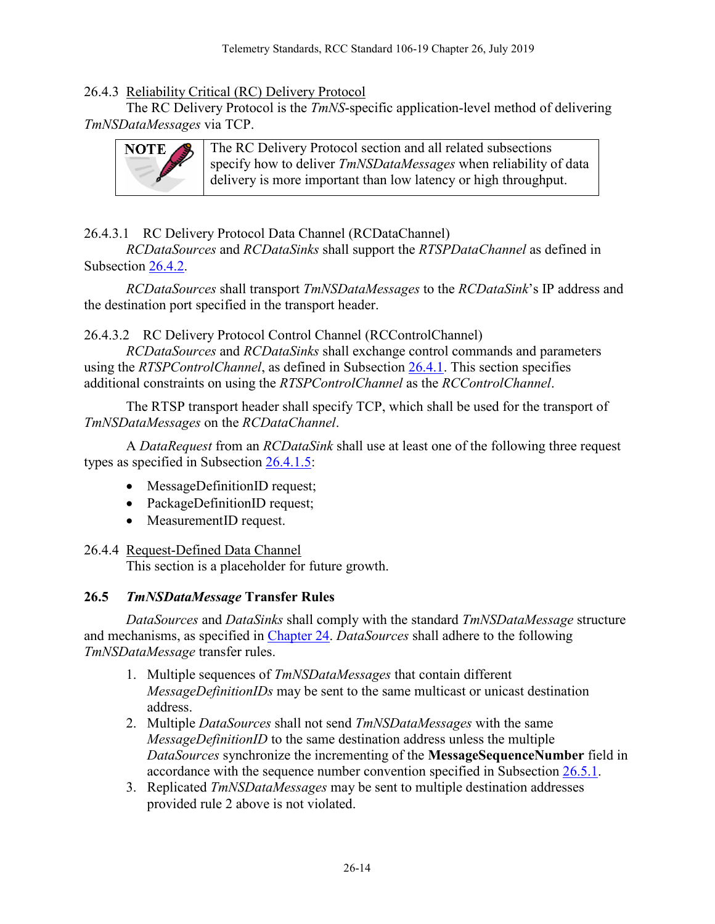### <span id="page-17-0"></span>26.4.3 Reliability Critical (RC) Delivery Protocol

The RC Delivery Protocol is the *TmNS*-specific application-level method of delivering *TmNSDataMessages* via TCP.



The RC Delivery Protocol section and all related subsections specify how to deliver *TmNSDataMessages* when reliability of data delivery is more important than low latency or high throughput.

26.4.3.1 RC Delivery Protocol Data Channel (RCDataChannel)

*RCDataSources* and *RCDataSinks* shall support the *RTSPDataChannel* as defined in Subsection [26.4.2.](#page-16-0)

*RCDataSources* shall transport *TmNSDataMessages* to the *RCDataSink*'s IP address and the destination port specified in the transport header.

26.4.3.2 RC Delivery Protocol Control Channel (RCControlChannel)

*RCDataSources* and *RCDataSinks* shall exchange control commands and parameters using the *RTSPControlChannel*, as defined in Subsection [26.4.1.](#page-7-1) This section specifies additional constraints on using the *RTSPControlChannel* as the *RCControlChannel*.

The RTSP transport header shall specify TCP, which shall be used for the transport of *TmNSDataMessages* on the *RCDataChannel*.

A *DataRequest* from an *RCDataSink* shall use at least one of the following three request types as specified in Subsection [26.4.1.5:](#page-13-1)

- MessageDefinitionID request;
- PackageDefinitionID request;
- MeasurementID request.

### <span id="page-17-1"></span>26.4.4 Request-Defined Data Channel

This section is a placeholder for future growth.

### <span id="page-17-2"></span>**26.5** *TmNSDataMessage* **Transfer Rules**

*DataSources* and *DataSinks* shall comply with the standard *TmNSDataMessage* structure and mechanisms, as specified in [Chapter 24.](http://www.wsmr.army.mil/RCCsite/Documents/106-19_Telemetry_Standards/Chapter24.pdf) *DataSources* shall adhere to the following *TmNSDataMessage* transfer rules.

- 1. Multiple sequences of *TmNSDataMessages* that contain different *MessageDefinitionIDs* may be sent to the same multicast or unicast destination address.
- 2. Multiple *DataSources* shall not send *TmNSDataMessages* with the same *MessageDefinitionID* to the same destination address unless the multiple *DataSources* synchronize the incrementing of the **MessageSequenceNumber** field in accordance with the sequence number convention specified in Subsection [26.5.1.](#page-18-0)
- 3. Replicated *TmNSDataMessages* may be sent to multiple destination addresses provided rule 2 above is not violated.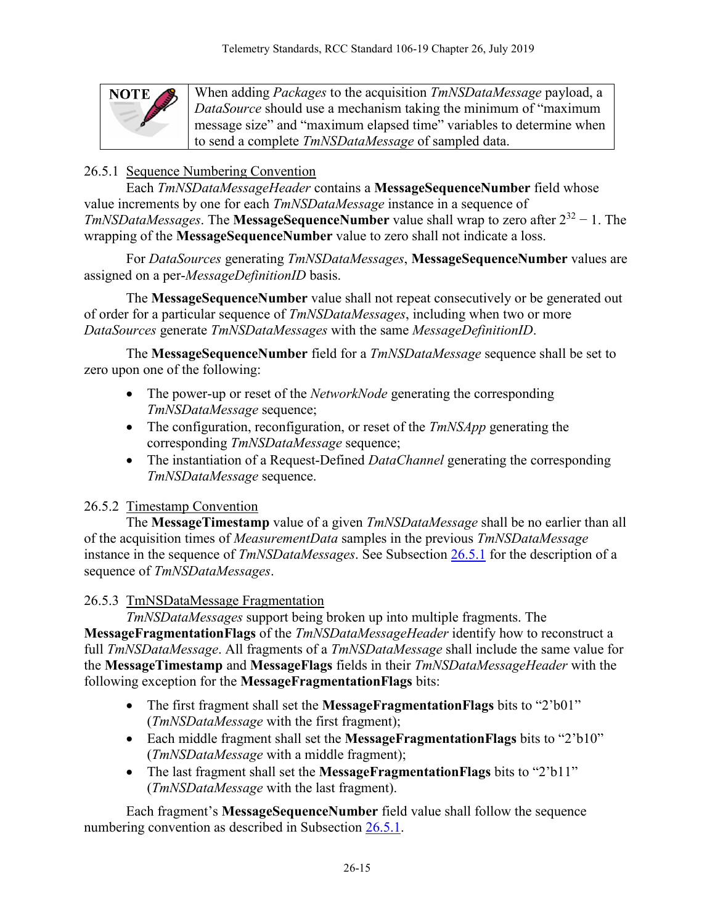

When adding *Packages* to the acquisition *TmNSDataMessage* payload, a *DataSource* should use a mechanism taking the minimum of "maximum message size" and "maximum elapsed time" variables to determine when to send a complete *TmNSDataMessage* of sampled data.

# <span id="page-18-0"></span>26.5.1 Sequence Numbering Convention

Each *TmNSDataMessageHeader* contains a **MessageSequenceNumber** field whose value increments by one for each *TmNSDataMessage* instance in a sequence of *TmNSDataMessages*. The **MessageSequenceNumber** value shall wrap to zero after  $2^{32} - 1$ . The wrapping of the **MessageSequenceNumber** value to zero shall not indicate a loss.

For *DataSources* generating *TmNSDataMessages*, **MessageSequenceNumber** values are assigned on a per-*MessageDefinitionID* basis.

The **MessageSequenceNumber** value shall not repeat consecutively or be generated out of order for a particular sequence of *TmNSDataMessages*, including when two or more *DataSources* generate *TmNSDataMessages* with the same *MessageDefinitionID*.

The **MessageSequenceNumber** field for a *TmNSDataMessage* sequence shall be set to zero upon one of the following:

- The power-up or reset of the *NetworkNode* generating the corresponding *TmNSDataMessage* sequence;
- The configuration, reconfiguration, or reset of the *TmNSApp* generating the corresponding *TmNSDataMessage* sequence;
- The instantiation of a Request-Defined *DataChannel* generating the corresponding *TmNSDataMessage* sequence.

# <span id="page-18-1"></span>26.5.2 Timestamp Convention

The **MessageTimestamp** value of a given *TmNSDataMessage* shall be no earlier than all of the acquisition times of *MeasurementData* samples in the previous *TmNSDataMessage*  instance in the sequence of *TmNSDataMessages*. See Subsection [26.5.1](#page-18-0) for the description of a sequence of *TmNSDataMessages*.

# <span id="page-18-2"></span>26.5.3 TmNSDataMessage Fragmentation

*TmNSDataMessages* support being broken up into multiple fragments. The **MessageFragmentationFlags** of the *TmNSDataMessageHeader* identify how to reconstruct a full *TmNSDataMessage*. All fragments of a *TmNSDataMessage* shall include the same value for the **MessageTimestamp** and **MessageFlags** fields in their *TmNSDataMessageHeader* with the following exception for the **MessageFragmentationFlags** bits:

- The first fragment shall set the **MessageFragmentationFlags** bits to "2'b01" (*TmNSDataMessage* with the first fragment);
- Each middle fragment shall set the **MessageFragmentationFlags** bits to "2'b10" (*TmNSDataMessage* with a middle fragment);
- The last fragment shall set the **MessageFragmentationFlags** bits to "2'b11" (*TmNSDataMessage* with the last fragment).

Each fragment's **MessageSequenceNumber** field value shall follow the sequence numbering convention as described in Subsection [26.5.1.](#page-18-0)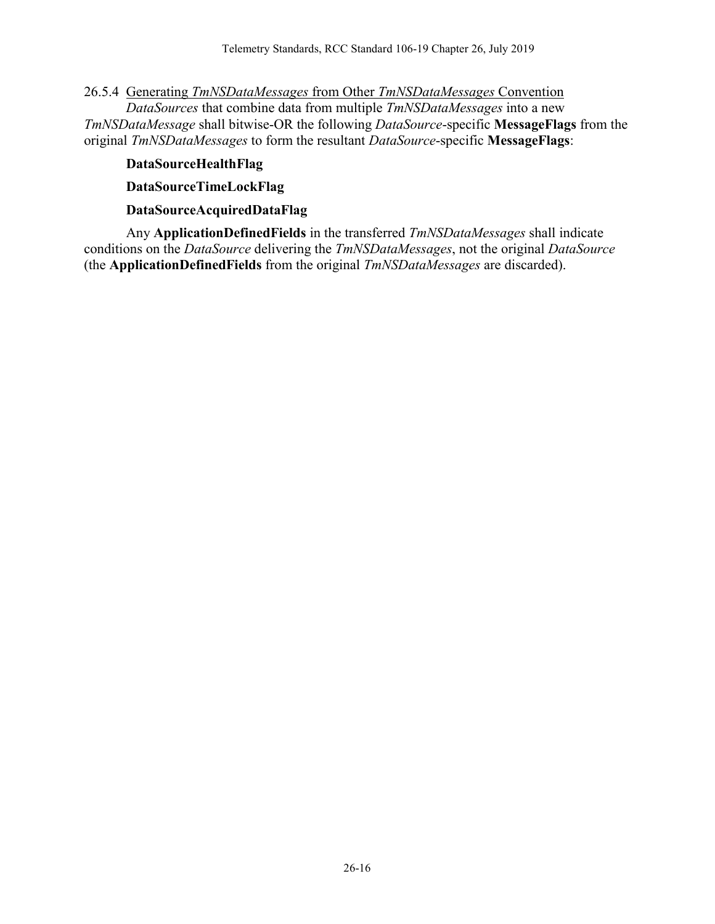<span id="page-19-0"></span>26.5.4 Generating *TmNSDataMessages* from Other *TmNSDataMessages* Convention

*DataSources* that combine data from multiple *TmNSDataMessages* into a new *TmNSDataMessage* shall bitwise-OR the following *DataSource*-specific **MessageFlags** from the original *TmNSDataMessages* to form the resultant *DataSource*-specific **MessageFlags**:

## **DataSourceHealthFlag**

**DataSourceTimeLockFlag**

## **DataSourceAcquiredDataFlag**

Any **ApplicationDefinedFields** in the transferred *TmNSDataMessages* shall indicate conditions on the *DataSource* delivering the *TmNSDataMessages*, not the original *DataSource* (the **ApplicationDefinedFields** from the original *TmNSDataMessages* are discarded).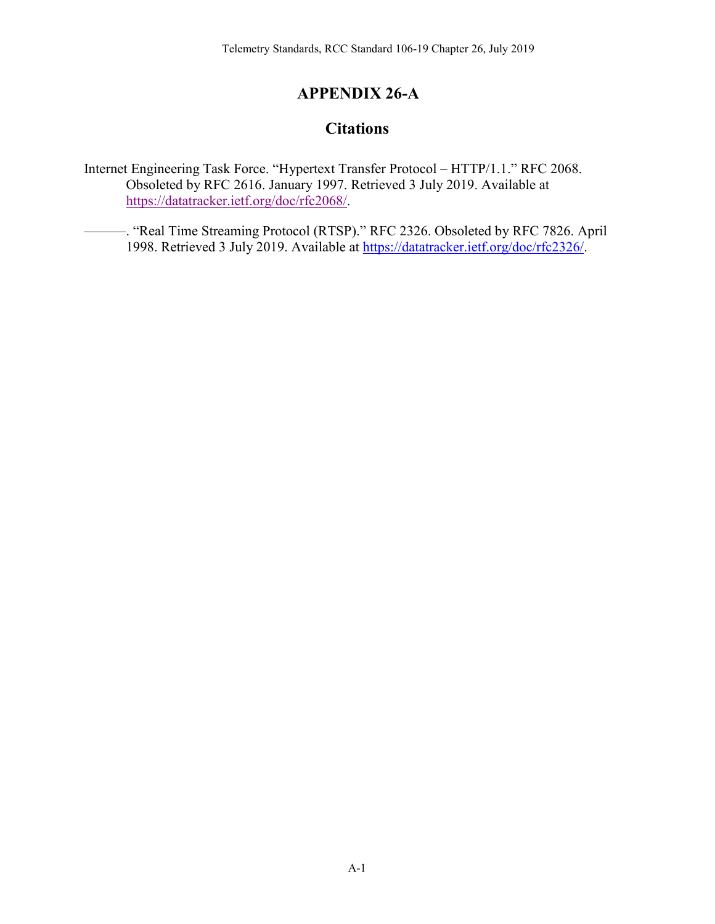# **APPENDIX 26-A**

# <span id="page-20-0"></span>**Citations**

Internet Engineering Task Force. "Hypertext Transfer Protocol – HTTP/1.1." RFC 2068. Obsoleted by RFC 2616. January 1997. Retrieved 3 July 2019. Available at [https://datatracker.ietf.org/doc/rfc2068/.](https://datatracker.ietf.org/doc/rfc2068/)

———. "Real Time Streaming Protocol (RTSP)." RFC 2326. Obsoleted by RFC 7826. April 1998. Retrieved 3 July 2019. Available at [https://datatracker.ietf.org/doc/rfc2326/.](https://datatracker.ietf.org/doc/rfc2326/)